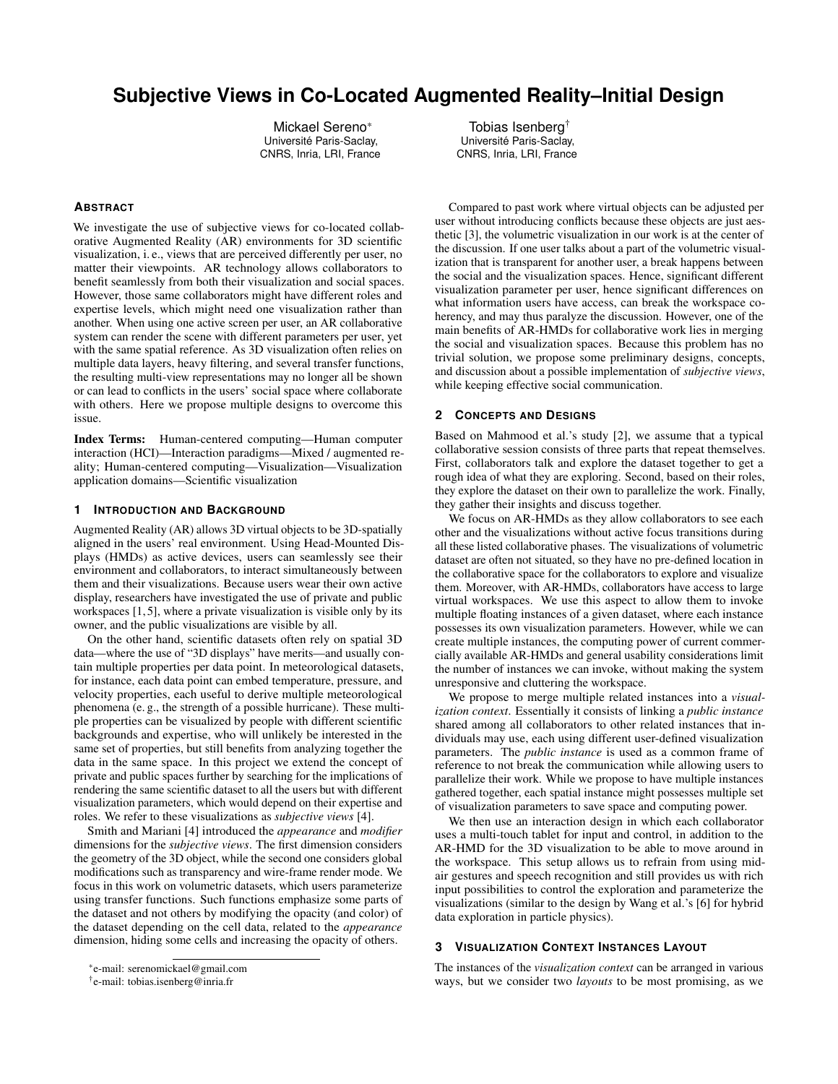# **Subjective Views in Co-Located Augmented Reality–Initial Design**

Mickael Sereno\* Université Paris-Saclay, CNRS, Inria, LRI, France

#### **ABSTRACT**

We investigate the use of subjective views for co-located collaborative Augmented Reality (AR) environments for 3D scientific visualization, i. e., views that are perceived differently per user, no matter their viewpoints. AR technology allows collaborators to benefit seamlessly from both their visualization and social spaces. However, those same collaborators might have different roles and expertise levels, which might need one visualization rather than another. When using one active screen per user, an AR collaborative system can render the scene with different parameters per user, yet with the same spatial reference. As 3D visualization often relies on multiple data layers, heavy filtering, and several transfer functions, the resulting multi-view representations may no longer all be shown or can lead to conflicts in the users' social space where collaborate with others. Here we propose multiple designs to overcome this issue.

Index Terms: Human-centered computing—Human computer interaction (HCI)—Interaction paradigms—Mixed / augmented reality; Human-centered computing—Visualization—Visualization application domains—Scientific visualization

## **1 INTRODUCTION AND BACKGROUND**

Augmented Reality (AR) allows 3D virtual objects to be 3D-spatially aligned in the users' real environment. Using Head-Mounted Displays (HMDs) as active devices, users can seamlessly see their environment and collaborators, to interact simultaneously between them and their visualizations. Because users wear their own active display, researchers have investigated the use of private and public workspaces [\[1,](#page-1-0) [5\]](#page-1-1), where a private visualization is visible only by its owner, and the public visualizations are visible by all.

On the other hand, scientific datasets often rely on spatial 3D data—where the use of "3D displays" have merits—and usually contain multiple properties per data point. In meteorological datasets, for instance, each data point can embed temperature, pressure, and velocity properties, each useful to derive multiple meteorological phenomena (e. g., the strength of a possible hurricane). These multiple properties can be visualized by people with different scientific backgrounds and expertise, who will unlikely be interested in the same set of properties, but still benefits from analyzing together the data in the same space. In this project we extend the concept of private and public spaces further by searching for the implications of rendering the same scientific dataset to all the users but with different visualization parameters, which would depend on their expertise and roles. We refer to these visualizations as *subjective views* [\[4\]](#page-1-2).

Smith and Mariani [\[4\]](#page-1-2) introduced the *appearance* and *modifier* dimensions for the *subjective views*. The first dimension considers the geometry of the 3D object, while the second one considers global modifications such as transparency and wire-frame render mode. We focus in this work on volumetric datasets, which users parameterize using transfer functions. Such functions emphasize some parts of the dataset and not others by modifying the opacity (and color) of the dataset depending on the cell data, related to the *appearance* dimension, hiding some cells and increasing the opacity of others.

CNRS, Inria, LRI, France Compared to past work where virtual objects can be adjusted per user without introducing conflicts because these objects are just aesthetic [\[3\]](#page-1-3), the volumetric visualization in our work is at the center of the discussion. If one user talks about a part of the volumetric visual-

ization that is transparent for another user, a break happens between the social and the visualization spaces. Hence, significant different visualization parameter per user, hence significant differences on what information users have access, can break the workspace coherency, and may thus paralyze the discussion. However, one of the main benefits of AR-HMDs for collaborative work lies in merging the social and visualization spaces. Because this problem has no trivial solution, we propose some preliminary designs, concepts, and discussion about a possible implementation of *subjective views*, while keeping effective social communication.

## **2 CONCEPTS AND DESIGNS**

Tobias Isenberg† Université Paris-Saclay,

Based on Mahmood et al.'s study [\[2\]](#page-1-4), we assume that a typical collaborative session consists of three parts that repeat themselves. First, collaborators talk and explore the dataset together to get a rough idea of what they are exploring. Second, based on their roles, they explore the dataset on their own to parallelize the work. Finally, they gather their insights and discuss together.

We focus on AR-HMDs as they allow collaborators to see each other and the visualizations without active focus transitions during all these listed collaborative phases. The visualizations of volumetric dataset are often not situated, so they have no pre-defined location in the collaborative space for the collaborators to explore and visualize them. Moreover, with AR-HMDs, collaborators have access to large virtual workspaces. We use this aspect to allow them to invoke multiple floating instances of a given dataset, where each instance possesses its own visualization parameters. However, while we can create multiple instances, the computing power of current commercially available AR-HMDs and general usability considerations limit the number of instances we can invoke, without making the system unresponsive and cluttering the workspace.

We propose to merge multiple related instances into a *visualization context*. Essentially it consists of linking a *public instance* shared among all collaborators to other related instances that individuals may use, each using different user-defined visualization parameters. The *public instance* is used as a common frame of reference to not break the communication while allowing users to parallelize their work. While we propose to have multiple instances gathered together, each spatial instance might possesses multiple set of visualization parameters to save space and computing power.

We then use an interaction design in which each collaborator uses a multi-touch tablet for input and control, in addition to the AR-HMD for the 3D visualization to be able to move around in the workspace. This setup allows us to refrain from using midair gestures and speech recognition and still provides us with rich input possibilities to control the exploration and parameterize the visualizations (similar to the design by Wang et al.'s [\[6\]](#page-1-5) for hybrid data exploration in particle physics).

# **3 VISUALIZATION CONTEXT INSTANCES LAYOUT**

The instances of the *visualization context* can be arranged in various ways, but we consider two *layouts* to be most promising, as we

<sup>\*</sup>e-mail: serenomickael@gmail.com

<sup>†</sup> e-mail: tobias.isenberg@inria.fr